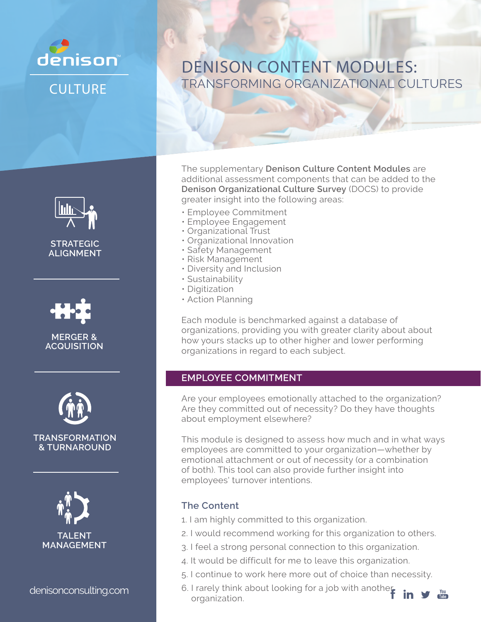

**CULTURE** 



**STRATEGIC ALIGNMENT**



**MERGER & ACQUISITION**



#### **TRANSFORMATION & TURNAROUND**



denisonconsulting.com b. I rarely think and denisonconsulting.com

# DENISON CONTENT MODULES: TRANSFORMING ORGANIZATIONAL CULTURES

The supplementary **Denison Culture Content Modules** are additional assessment components that can be added to the **Denison Organizational Culture Survey** (DOCS) to provide greater insight into the following areas:

- Employee Commitment
- Employee Engagement
- Organizational Trust
- Organizational Innovation
- Safety Management
- Risk Management
- Diversity and Inclusion
- Sustainability
- Digitization
- Action Planning

Each module is benchmarked against a database of organizations, providing you with greater clarity about about how yours stacks up to other higher and lower performing organizations in regard to each subject.

#### **EMPLOYEE COMMITMENT**

Are your employees emotionally attached to the organization? Are they committed out of necessity? Do they have thoughts about employment elsewhere?

This module is designed to assess how much and in what ways employees are committed to your organization—whether by emotional attachment or out of necessity (or a combination of both). This tool can also provide further insight into employees' turnover intentions.

- 1. I am highly committed to this organization.
- 2. I would recommend working for this organization to others.
- 3. I feel a strong personal connection to this organization.
- 4. It would be difficult for me to leave this organization.
- 5. I continue to work here more out of choice than necessity.
- 6. I rarely think about looking for a job with another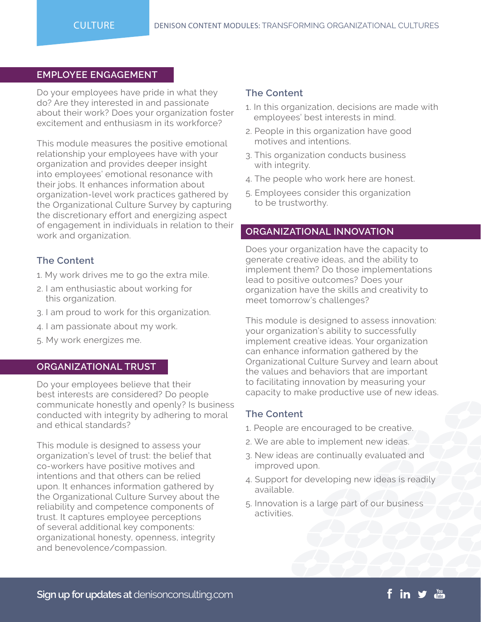#### **EMPLOYEE ENGAGEMENT**

Do your employees have pride in what they do? Are they interested in and passionate about their work? Does your organization foster excitement and enthusiasm in its workforce?

This module measures the positive emotional relationship your employees have with your organization and provides deeper insight into employees' emotional resonance with their jobs. It enhances information about organization-level work practices gathered by the Organizational Culture Survey by capturing the discretionary effort and energizing aspect of engagement in individuals in relation to their work and organization.

#### **The Content**

- 1. My work drives me to go the extra mile.
- 2. I am enthusiastic about working for this organization.
- 3. I am proud to work for this organization.
- 4. I am passionate about my work.
- 5. My work energizes me.

#### **ORGANIZATIONAL TRUST**

Do your employees believe that their best interests are considered? Do people communicate honestly and openly? Is business conducted with integrity by adhering to moral and ethical standards?

This module is designed to assess your organization's level of trust: the belief that co-workers have positive motives and intentions and that others can be relied upon. It enhances information gathered by the Organizational Culture Survey about the reliability and competence components of trust. It captures employee perceptions of several additional key components: organizational honesty, openness, integrity and benevolence/compassion.

#### **The Content**

- 1. In this organization, decisions are made with employees' best interests in mind.
- 2. People in this organization have good motives and intentions.
- 3. This organization conducts business with integrity.
- 4. The people who work here are honest.
- 5. Employees consider this organization to be trustworthy.

#### **ORGANIZATIONAL INNOVATION**

Does your organization have the capacity to generate creative ideas, and the ability to implement them? Do those implementations lead to positive outcomes? Does your organization have the skills and creativity to meet tomorrow's challenges?

This module is designed to assess innovation: your organization's ability to successfully implement creative ideas. Your organization can enhance information gathered by the Organizational Culture Survey and learn about the values and behaviors that are important to facilitating innovation by measuring your capacity to make productive use of new ideas.

- 1. People are encouraged to be creative.
- 2. We are able to implement new ideas.
- 3. New ideas are continually evaluated and improved upon.
- 4. Support for developing new ideas is readily available.
- 5. Innovation is a large part of our business activities.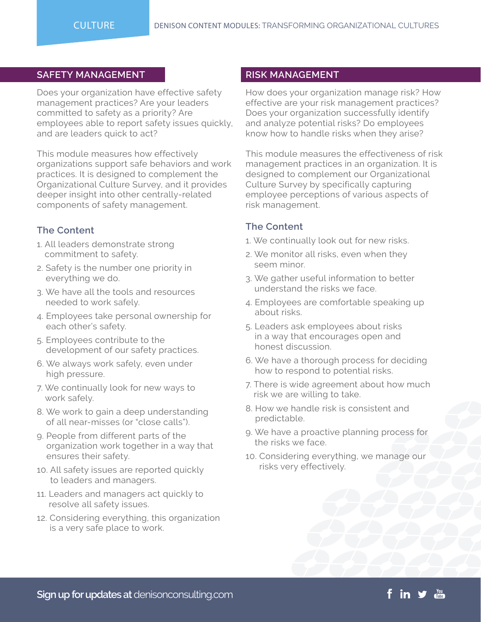#### **SAFETY MANAGEMENT**

Does your organization have effective safety management practices? Are your leaders committed to safety as a priority? Are employees able to report safety issues quickly, and are leaders quick to act?

This module measures how effectively organizations support safe behaviors and work practices. It is designed to complement the Organizational Culture Survey, and it provides deeper insight into other centrally-related components of safety management.

## **The Content**

- 1. All leaders demonstrate strong commitment to safety.
- 2. Safety is the number one priority in everything we do.
- 3. We have all the tools and resources needed to work safely.
- 4. Employees take personal ownership for each other's safety.
- 5. Employees contribute to the development of our safety practices.
- 6. We always work safely, even under high pressure.
- 7. We continually look for new ways to work safely.
- 8. We work to gain a deep understanding of all near-misses (or "close calls").
- 9. People from different parts of the organization work together in a way that ensures their safety.
- 10. All safety issues are reported quickly to leaders and managers.
- 11. Leaders and managers act quickly to resolve all safety issues.
- 12. Considering everything, this organization is a very safe place to work.

#### **RISK MANAGEMENT**

How does your organization manage risk? How effective are your risk management practices? Does your organization successfully identify and analyze potential risks? Do employees know how to handle risks when they arise?

This module measures the effectiveness of risk management practices in an organization. It is designed to complement our Organizational Culture Survey by specifically capturing employee perceptions of various aspects of risk management.

- 1. We continually look out for new risks.
- 2. We monitor all risks, even when they seem minor.
- 3. We gather useful information to better understand the risks we face.
- 4. Employees are comfortable speaking up about risks.
- 5. Leaders ask employees about risks in a way that encourages open and honest discussion.
- 6. We have a thorough process for deciding how to respond to potential risks.
- 7. There is wide agreement about how much risk we are willing to take.
- 8. How we handle risk is consistent and predictable.
- 9. We have a proactive planning process for the risks we face.
- 10. Considering everything, we manage our risks very effectively.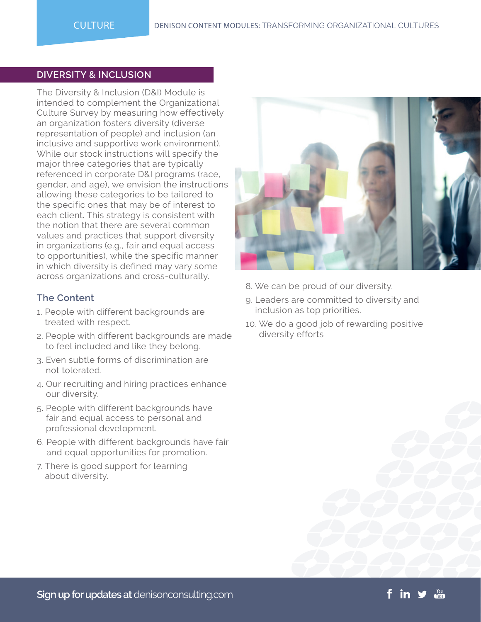#### **DIVERSITY & INCLUSION**

The Diversity & Inclusion (D&I) Module is intended to complement the Organizational Culture Survey by measuring how effectively an organization fosters diversity (diverse representation of people) and inclusion (an inclusive and supportive work environment). While our stock instructions will specify the major three categories that are typically referenced in corporate D&I programs (race, gender, and age), we envision the instructions allowing these categories to be tailored to the specific ones that may be of interest to each client. This strategy is consistent with the notion that there are several common values and practices that support diversity in organizations (e.g., fair and equal access to opportunities), while the specific manner in which diversity is defined may vary some across organizations and cross-culturally.

- 1. People with different backgrounds are treated with respect.
- 2. People with different backgrounds are made to feel included and like they belong.
- 3. Even subtle forms of discrimination are not tolerated.
- 4. Our recruiting and hiring practices enhance our diversity.
- 5. People with different backgrounds have fair and equal access to personal and professional development.
- 6. People with different backgrounds have fair and equal opportunities for promotion.
- 7. There is good support for learning about diversity.



- 8. We can be proud of our diversity.
- 9. Leaders are committed to diversity and inclusion as top priorities.
- 10. We do a good job of rewarding positive diversity efforts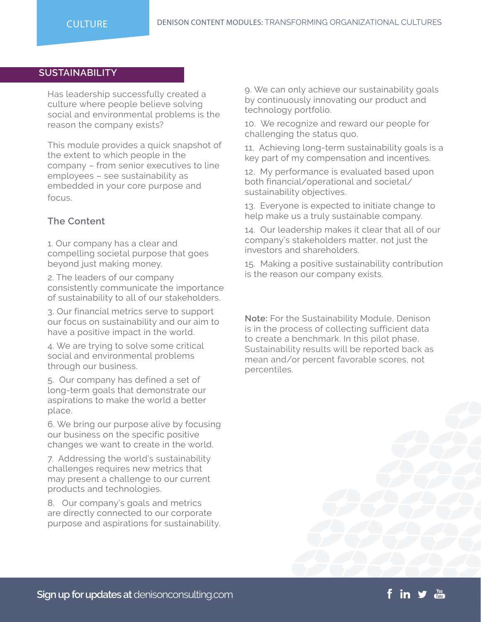# **SUSTAINABILITY**

Has leadership successfully created a culture where people believe solving social and environmental problems is the reason the company exists?

This module provides a quick snapshot of the extent to which people in the company – from senior executives to line employees – see sustainability as embedded in your core purpose and focus.

## **The Content**

1. Our company has a clear and compelling societal purpose that goes beyond just making money.

2. The leaders of our company consistently communicate the importance of sustainability to all of our stakeholders.

3. Our financial metrics serve to support our focus on sustainability and our aim to have a positive impact in the world.

4. We are trying to solve some critical social and environmental problems through our business.

5. Our company has defined a set of long-term goals that demonstrate our aspirations to make the world a better place.

6. We bring our purpose alive by focusing our business on the specific positive changes we want to create in the world.

7. Addressing the world's sustainability challenges requires new metrics that may present a challenge to our current products and technologies.

8. Our company's goals and metrics are directly connected to our corporate purpose and aspirations for sustainability. 9. We can only achieve our sustainability goals by continuously innovating our product and technology portfolio.

10. We recognize and reward our people for challenging the status quo.

11. Achieving long-term sustainability goals is a key part of my compensation and incentives.

12. My performance is evaluated based upon both financial/operational and societal/ sustainability objectives.

13. Everyone is expected to initiate change to help make us a truly sustainable company.

14. Our leadership makes it clear that all of our company's stakeholders matter, not just the investors and shareholders.

15. Making a positive sustainability contribution is the reason our company exists.

**Note:** For the Sustainability Module, Denison is in the process of collecting sufficient data to create a benchmark. In this pilot phase, Sustainability results will be reported back as mean and/or percent favorable scores, not percentiles.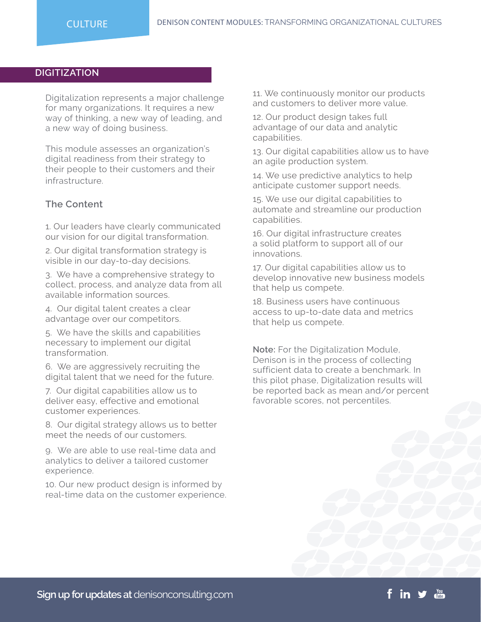#### **DIGITIZATION**

Digitalization represents a major challenge for many organizations. It requires a new way of thinking, a new way of leading, and a new way of doing business.

This module assesses an organization's digital readiness from their strategy to their people to their customers and their infrastructure.

#### **The Content**

1. Our leaders have clearly communicated our vision for our digital transformation.

2. Our digital transformation strategy is visible in our day-to-day decisions.

3. We have a comprehensive strategy to collect, process, and analyze data from all available information sources.

4. Our digital talent creates a clear advantage over our competitors.

5. We have the skills and capabilities necessary to implement our digital transformation.

6. We are aggressively recruiting the digital talent that we need for the future.

7. Our digital capabilities allow us to deliver easy, effective and emotional customer experiences.

8. Our digital strategy allows us to better meet the needs of our customers.

9. We are able to use real-time data and analytics to deliver a tailored customer experience.

10. Our new product design is informed by real-time data on the customer experience. 11. We continuously monitor our products and customers to deliver more value.

12. Our product design takes full advantage of our data and analytic capabilities.

13. Our digital capabilities allow us to have an agile production system.

14. We use predictive analytics to help anticipate customer support needs.

15. We use our digital capabilities to automate and streamline our production capabilities.

16. Our digital infrastructure creates a solid platform to support all of our innovations.

17. Our digital capabilities allow us to develop innovative new business models that help us compete.

18. Business users have continuous access to up-to-date data and metrics that help us compete.

**Note:** For the Digitalization Module, Denison is in the process of collecting sufficient data to create a benchmark. In this pilot phase, Digitalization results will be reported back as mean and/or percent favorable scores, not percentiles.